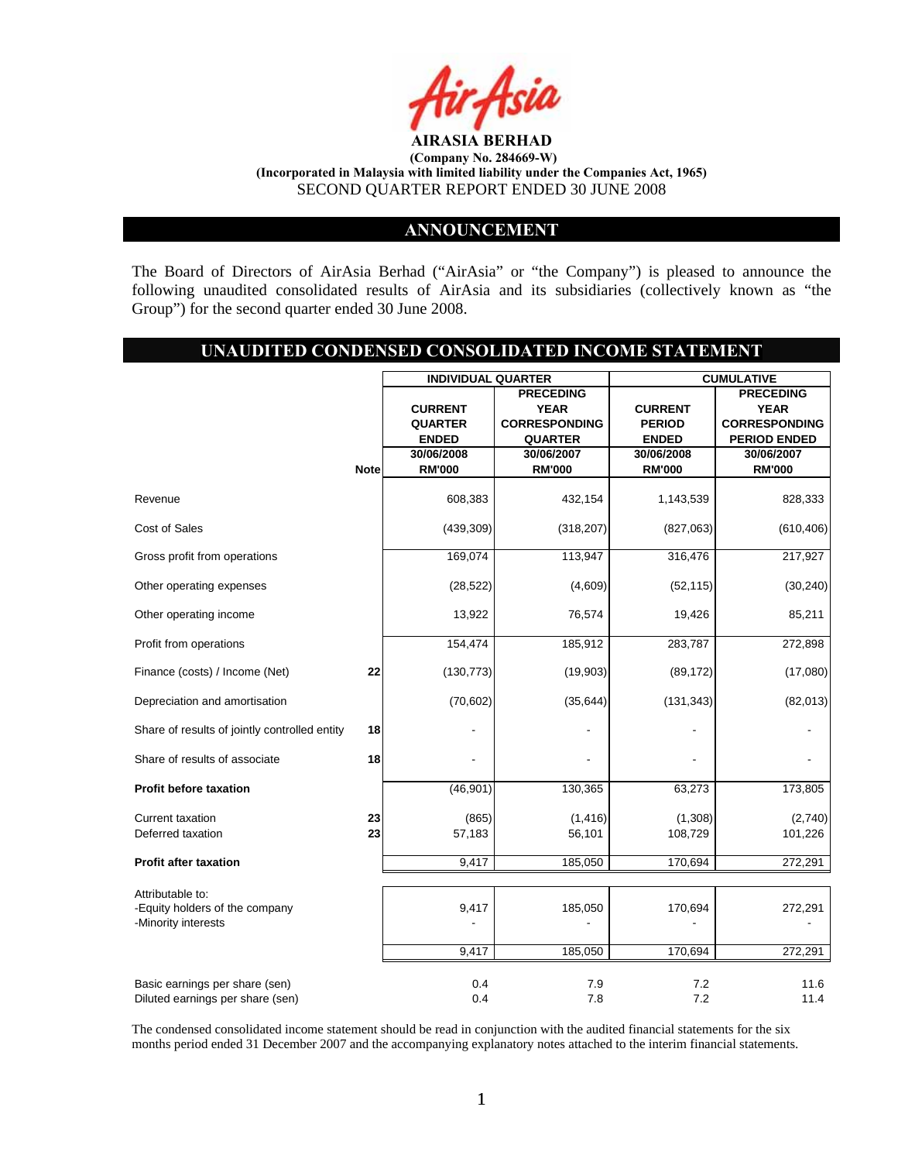

## **ANNOUNCEMENT**

The Board of Directors of AirAsia Berhad ("AirAsia" or "the Company") is pleased to announce the following unaudited consolidated results of AirAsia and its subsidiaries (collectively known as "the Group") for the second quarter ended 30 June 2008.

# **UNAUDITED CONDENSED CONSOLIDATED INCOME STATEMENT**

|                                                       |             | <b>INDIVIDUAL QUARTER</b> |                      | <b>CUMULATIVE</b> |                      |  |
|-------------------------------------------------------|-------------|---------------------------|----------------------|-------------------|----------------------|--|
|                                                       |             |                           | <b>PRECEDING</b>     |                   | <b>PRECEDING</b>     |  |
|                                                       |             | <b>CURRENT</b>            | <b>YEAR</b>          | <b>CURRENT</b>    | <b>YEAR</b>          |  |
|                                                       |             | <b>QUARTER</b>            | <b>CORRESPONDING</b> | <b>PERIOD</b>     | <b>CORRESPONDING</b> |  |
|                                                       |             | <b>ENDED</b>              | <b>QUARTER</b>       | <b>ENDED</b>      | <b>PERIOD ENDED</b>  |  |
|                                                       |             | 30/06/2008                | 30/06/2007           | 30/06/2008        | 30/06/2007           |  |
|                                                       | <b>Note</b> | <b>RM'000</b>             | <b>RM'000</b>        | <b>RM'000</b>     | <b>RM'000</b>        |  |
| Revenue                                               |             | 608,383                   | 432,154              | 1,143,539         | 828,333              |  |
| <b>Cost of Sales</b>                                  |             | (439, 309)                | (318, 207)           | (827,063)         | (610, 406)           |  |
| Gross profit from operations                          |             | 169,074                   | 113,947              | 316,476           | 217,927              |  |
| Other operating expenses                              |             | (28, 522)                 | (4,609)              | (52, 115)         | (30, 240)            |  |
| Other operating income                                |             | 13,922                    | 76,574               | 19,426            | 85,211               |  |
| Profit from operations                                |             | 154,474                   | 185,912              | 283,787           | 272,898              |  |
| Finance (costs) / Income (Net)                        | 22          | (130, 773)                | (19,903)             | (89, 172)         | (17,080)             |  |
| Depreciation and amortisation                         |             | (70, 602)                 | (35, 644)            | (131, 343)        | (82,013)             |  |
| Share of results of jointly controlled entity         | 18          |                           |                      |                   |                      |  |
| Share of results of associate                         | 18          |                           |                      |                   |                      |  |
| <b>Profit before taxation</b>                         |             | (46, 901)                 | 130,365              | 63,273            | 173,805              |  |
| Current taxation                                      | 23          | (865)                     | (1, 416)             | (1,308)           | (2,740)              |  |
| Deferred taxation                                     | 23          | 57,183                    | 56,101               | 108,729           | 101,226              |  |
| <b>Profit after taxation</b>                          |             | 9,417                     | 185,050              | 170,694           | 272,291              |  |
| Attributable to:                                      |             |                           |                      |                   |                      |  |
| -Equity holders of the company<br>-Minority interests |             | 9,417                     | 185,050              | 170,694           | 272,291              |  |
|                                                       |             | 9,417                     | 185,050              | 170,694           | 272,291              |  |
| Basic earnings per share (sen)                        |             | 0.4                       | 7.9                  | 7.2               | 11.6                 |  |
| Diluted earnings per share (sen)                      |             | 0.4                       | 7.8                  | 7.2               | 11.4                 |  |

The condensed consolidated income statement should be read in conjunction with the audited financial statements for the six months period ended 31 December 2007 and the accompanying explanatory notes attached to the interim financial statements.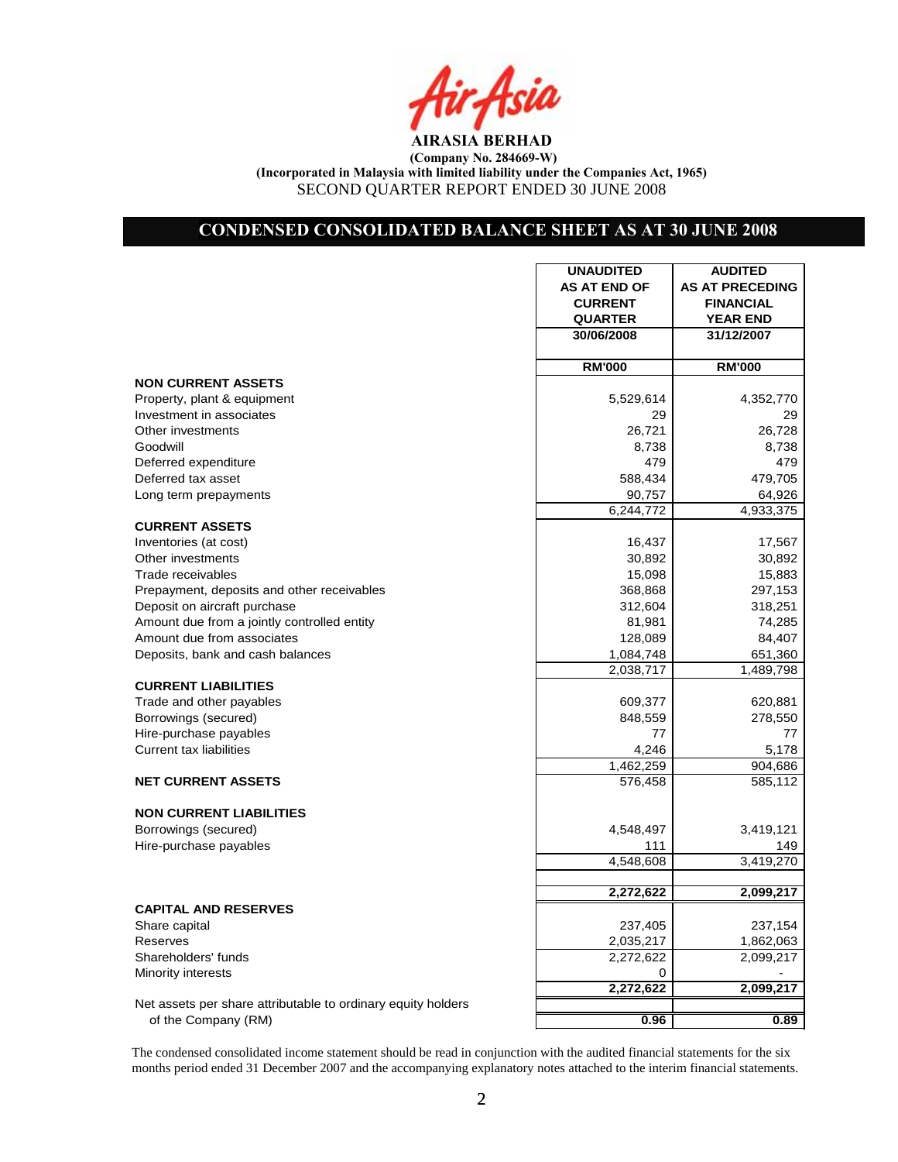# **CONDENSED CONSOLIDATED BALANCE SHEET AS AT 30 JUNE 2008**

|                                                              | <b>UNAUDITED</b>    | <b>AUDITED</b>         |
|--------------------------------------------------------------|---------------------|------------------------|
|                                                              | <b>AS AT END OF</b> | <b>AS AT PRECEDING</b> |
|                                                              | <b>CURRENT</b>      | <b>FINANCIAL</b>       |
|                                                              | <b>QUARTER</b>      | <b>YEAR END</b>        |
|                                                              | 30/06/2008          | 31/12/2007             |
|                                                              |                     |                        |
|                                                              | <b>RM'000</b>       | <b>RM'000</b>          |
| <b>NON CURRENT ASSETS</b>                                    |                     |                        |
| Property, plant & equipment                                  | 5,529,614           | 4,352,770              |
| Investment in associates                                     | 29                  | 29                     |
| Other investments                                            | 26,721              | 26,728                 |
| Goodwill                                                     | 8,738               | 8,738                  |
| Deferred expenditure                                         | 479                 | 479                    |
| Deferred tax asset                                           | 588,434             | 479,705                |
| Long term prepayments                                        | 90,757              | 64,926                 |
|                                                              | 6,244,772           | 4,933,375              |
| <b>CURRENT ASSETS</b>                                        |                     |                        |
| Inventories (at cost)                                        | 16,437              | 17,567                 |
| Other investments                                            | 30,892              | 30,892                 |
| Trade receivables                                            | 15,098              | 15,883                 |
| Prepayment, deposits and other receivables                   | 368,868             | 297,153                |
| Deposit on aircraft purchase                                 | 312,604             | 318,251                |
| Amount due from a jointly controlled entity                  | 81,981              | 74,285                 |
| Amount due from associates                                   | 128,089             | 84,407                 |
| Deposits, bank and cash balances                             | 1,084,748           | 651,360                |
|                                                              | 2,038,717           | 1,489,798              |
| <b>CURRENT LIABILITIES</b>                                   |                     |                        |
| Trade and other payables                                     | 609,377             | 620,881                |
| Borrowings (secured)                                         | 848,559             | 278,550                |
| Hire-purchase payables                                       | 77                  | 77                     |
| <b>Current tax liabilities</b>                               | 4,246               | 5,178                  |
|                                                              | 1,462,259           | 904,686                |
| <b>NET CURRENT ASSETS</b>                                    | 576,458             | 585,112                |
| <b>NON CURRENT LIABILITIES</b>                               |                     |                        |
|                                                              |                     |                        |
| Borrowings (secured)                                         | 4,548,497           | 3,419,121              |
| Hire-purchase payables                                       | 111<br>4,548,608    | 149                    |
|                                                              |                     | 3,419,270              |
|                                                              | 2,272,622           | 2,099,217              |
| <b>CAPITAL AND RESERVES</b>                                  |                     |                        |
| Share capital                                                | 237,405             | 237,154                |
|                                                              |                     |                        |
| Reserves<br>Shareholders' funds                              | 2,035,217           | 1,862,063              |
|                                                              | 2,272,622           | 2,099,217              |
| Minority interests                                           | 0<br>2,272,622      | 2,099,217              |
| Net assets per share attributable to ordinary equity holders |                     |                        |
|                                                              | 0.96                | 0.89                   |
| of the Company (RM)                                          |                     |                        |

The condensed consolidated income statement should be read in conjunction with the audited financial statements for the six months period ended 31 December 2007 and the accompanying explanatory notes attached to the interim financial statements.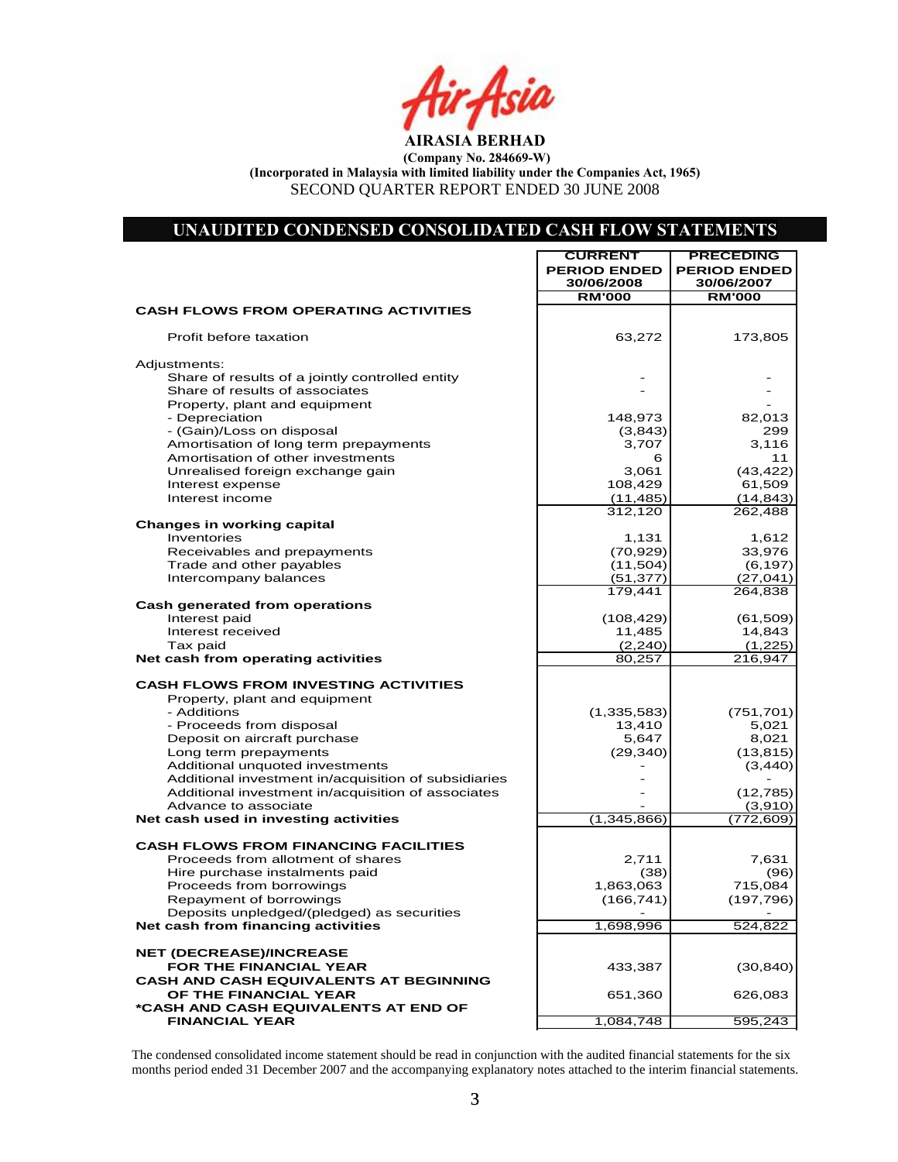### **UNAUDITED CONDENSED CONSOLIDATED CASH FLOW STATEMENTS**

| 30/06/2008<br>30/06/2007<br><b>RM'000</b><br><b>RM'000</b><br><b>CASH FLOWS FROM OPERATING ACTIVITIES</b><br>Profit before taxation<br>63,272<br>173,805<br>Adjustments:<br>Share of results of a jointly controlled entity<br>Share of results of associates<br>Property, plant and equipment<br>- Depreciation<br>148,973<br>82,013<br>- (Gain)/Loss on disposal<br>299<br>(3,843)<br>Amortisation of long term prepayments<br>3,116<br>3,707<br>Amortisation of other investments<br>11<br>6<br>Unrealised foreign exchange gain<br>3,061<br>(43, 422)<br>108,429<br>61,509<br>Interest expense<br>Interest income<br>(11, 485)<br>(14, 843)<br>312,120<br>262,488<br><b>Changes in working capital</b><br>Inventories<br>1,131<br>1,612<br>33,976<br>Receivables and prepayments<br>(70, 929)<br>Trade and other payables<br>(11,504)<br>(6, 197)<br>Intercompany balances<br>(51, 377)<br>(27, 041)<br>179,441<br>264,838<br>Cash generated from operations<br>Interest paid<br>(108, 429)<br>(61, 509)<br>14,843<br>Interest received<br>11,485<br>Tax paid<br>(2, 240)<br>(1,225)<br>80,257<br>216,947<br>Net cash from operating activities<br><b>CASH FLOWS FROM INVESTING ACTIVITIES</b><br>Property, plant and equipment<br>- Additions<br>(1, 335, 583)<br>(751, 701)<br>- Proceeds from disposal<br>13,410<br>5,021<br>Deposit on aircraft purchase<br>5,647<br>8,021<br>Long term prepayments<br>(29, 340)<br>(13, 815)<br>Additional unquoted investments<br>(3, 440)<br>Additional investment in/acquisition of subsidiaries<br>Additional investment in/acquisition of associates<br>(12, 785)<br>Advance to associate<br>(3,910)<br>(1, 345, 866)<br>Net cash used in investing activities<br>(772, 609)<br><b>CASH FLOWS FROM FINANCING FACILITIES</b><br>Proceeds from allotment of shares<br>2,711<br>7,631<br>Hire purchase instalments paid<br>(38)<br>(96)<br>Proceeds from borrowings<br>1,863,063<br>715,084<br>Repayment of borrowings<br>(166, 741)<br>(197, 796)<br>Deposits unpledged/(pledged) as securities<br>Net cash from financing activities<br>1,698,996<br>524,822<br><b>NET (DECREASE)/INCREASE</b><br>FOR THE FINANCIAL YEAR<br>(30, 840)<br>433,387<br><b>CASH AND CASH EQUIVALENTS AT BEGINNING</b><br>OF THE FINANCIAL YEAR<br>651,360<br>626,083<br>*CASH AND CASH EQUIVALENTS AT END OF<br>1,084,748<br><b>FINANCIAL YEAR</b><br>595,243 | <b>CURRENT</b><br><b>PERIOD ENDED</b> | <b>PRECEDING</b><br><b>PERIOD ENDED</b> |
|----------------------------------------------------------------------------------------------------------------------------------------------------------------------------------------------------------------------------------------------------------------------------------------------------------------------------------------------------------------------------------------------------------------------------------------------------------------------------------------------------------------------------------------------------------------------------------------------------------------------------------------------------------------------------------------------------------------------------------------------------------------------------------------------------------------------------------------------------------------------------------------------------------------------------------------------------------------------------------------------------------------------------------------------------------------------------------------------------------------------------------------------------------------------------------------------------------------------------------------------------------------------------------------------------------------------------------------------------------------------------------------------------------------------------------------------------------------------------------------------------------------------------------------------------------------------------------------------------------------------------------------------------------------------------------------------------------------------------------------------------------------------------------------------------------------------------------------------------------------------------------------------------------------------------------------------------------------------------------------------------------------------------------------------------------------------------------------------------------------------------------------------------------------------------------------------------------------------------------------------------------------------------------------------------------------------------------------------------------------------------------------|---------------------------------------|-----------------------------------------|
|                                                                                                                                                                                                                                                                                                                                                                                                                                                                                                                                                                                                                                                                                                                                                                                                                                                                                                                                                                                                                                                                                                                                                                                                                                                                                                                                                                                                                                                                                                                                                                                                                                                                                                                                                                                                                                                                                                                                                                                                                                                                                                                                                                                                                                                                                                                                                                                        |                                       |                                         |
|                                                                                                                                                                                                                                                                                                                                                                                                                                                                                                                                                                                                                                                                                                                                                                                                                                                                                                                                                                                                                                                                                                                                                                                                                                                                                                                                                                                                                                                                                                                                                                                                                                                                                                                                                                                                                                                                                                                                                                                                                                                                                                                                                                                                                                                                                                                                                                                        |                                       |                                         |
|                                                                                                                                                                                                                                                                                                                                                                                                                                                                                                                                                                                                                                                                                                                                                                                                                                                                                                                                                                                                                                                                                                                                                                                                                                                                                                                                                                                                                                                                                                                                                                                                                                                                                                                                                                                                                                                                                                                                                                                                                                                                                                                                                                                                                                                                                                                                                                                        |                                       |                                         |
|                                                                                                                                                                                                                                                                                                                                                                                                                                                                                                                                                                                                                                                                                                                                                                                                                                                                                                                                                                                                                                                                                                                                                                                                                                                                                                                                                                                                                                                                                                                                                                                                                                                                                                                                                                                                                                                                                                                                                                                                                                                                                                                                                                                                                                                                                                                                                                                        |                                       |                                         |
|                                                                                                                                                                                                                                                                                                                                                                                                                                                                                                                                                                                                                                                                                                                                                                                                                                                                                                                                                                                                                                                                                                                                                                                                                                                                                                                                                                                                                                                                                                                                                                                                                                                                                                                                                                                                                                                                                                                                                                                                                                                                                                                                                                                                                                                                                                                                                                                        |                                       |                                         |
|                                                                                                                                                                                                                                                                                                                                                                                                                                                                                                                                                                                                                                                                                                                                                                                                                                                                                                                                                                                                                                                                                                                                                                                                                                                                                                                                                                                                                                                                                                                                                                                                                                                                                                                                                                                                                                                                                                                                                                                                                                                                                                                                                                                                                                                                                                                                                                                        |                                       |                                         |
|                                                                                                                                                                                                                                                                                                                                                                                                                                                                                                                                                                                                                                                                                                                                                                                                                                                                                                                                                                                                                                                                                                                                                                                                                                                                                                                                                                                                                                                                                                                                                                                                                                                                                                                                                                                                                                                                                                                                                                                                                                                                                                                                                                                                                                                                                                                                                                                        |                                       |                                         |
|                                                                                                                                                                                                                                                                                                                                                                                                                                                                                                                                                                                                                                                                                                                                                                                                                                                                                                                                                                                                                                                                                                                                                                                                                                                                                                                                                                                                                                                                                                                                                                                                                                                                                                                                                                                                                                                                                                                                                                                                                                                                                                                                                                                                                                                                                                                                                                                        |                                       |                                         |
|                                                                                                                                                                                                                                                                                                                                                                                                                                                                                                                                                                                                                                                                                                                                                                                                                                                                                                                                                                                                                                                                                                                                                                                                                                                                                                                                                                                                                                                                                                                                                                                                                                                                                                                                                                                                                                                                                                                                                                                                                                                                                                                                                                                                                                                                                                                                                                                        |                                       |                                         |
|                                                                                                                                                                                                                                                                                                                                                                                                                                                                                                                                                                                                                                                                                                                                                                                                                                                                                                                                                                                                                                                                                                                                                                                                                                                                                                                                                                                                                                                                                                                                                                                                                                                                                                                                                                                                                                                                                                                                                                                                                                                                                                                                                                                                                                                                                                                                                                                        |                                       |                                         |
|                                                                                                                                                                                                                                                                                                                                                                                                                                                                                                                                                                                                                                                                                                                                                                                                                                                                                                                                                                                                                                                                                                                                                                                                                                                                                                                                                                                                                                                                                                                                                                                                                                                                                                                                                                                                                                                                                                                                                                                                                                                                                                                                                                                                                                                                                                                                                                                        |                                       |                                         |
|                                                                                                                                                                                                                                                                                                                                                                                                                                                                                                                                                                                                                                                                                                                                                                                                                                                                                                                                                                                                                                                                                                                                                                                                                                                                                                                                                                                                                                                                                                                                                                                                                                                                                                                                                                                                                                                                                                                                                                                                                                                                                                                                                                                                                                                                                                                                                                                        |                                       |                                         |
|                                                                                                                                                                                                                                                                                                                                                                                                                                                                                                                                                                                                                                                                                                                                                                                                                                                                                                                                                                                                                                                                                                                                                                                                                                                                                                                                                                                                                                                                                                                                                                                                                                                                                                                                                                                                                                                                                                                                                                                                                                                                                                                                                                                                                                                                                                                                                                                        |                                       |                                         |
|                                                                                                                                                                                                                                                                                                                                                                                                                                                                                                                                                                                                                                                                                                                                                                                                                                                                                                                                                                                                                                                                                                                                                                                                                                                                                                                                                                                                                                                                                                                                                                                                                                                                                                                                                                                                                                                                                                                                                                                                                                                                                                                                                                                                                                                                                                                                                                                        |                                       |                                         |
|                                                                                                                                                                                                                                                                                                                                                                                                                                                                                                                                                                                                                                                                                                                                                                                                                                                                                                                                                                                                                                                                                                                                                                                                                                                                                                                                                                                                                                                                                                                                                                                                                                                                                                                                                                                                                                                                                                                                                                                                                                                                                                                                                                                                                                                                                                                                                                                        |                                       |                                         |
|                                                                                                                                                                                                                                                                                                                                                                                                                                                                                                                                                                                                                                                                                                                                                                                                                                                                                                                                                                                                                                                                                                                                                                                                                                                                                                                                                                                                                                                                                                                                                                                                                                                                                                                                                                                                                                                                                                                                                                                                                                                                                                                                                                                                                                                                                                                                                                                        |                                       |                                         |
|                                                                                                                                                                                                                                                                                                                                                                                                                                                                                                                                                                                                                                                                                                                                                                                                                                                                                                                                                                                                                                                                                                                                                                                                                                                                                                                                                                                                                                                                                                                                                                                                                                                                                                                                                                                                                                                                                                                                                                                                                                                                                                                                                                                                                                                                                                                                                                                        |                                       |                                         |
|                                                                                                                                                                                                                                                                                                                                                                                                                                                                                                                                                                                                                                                                                                                                                                                                                                                                                                                                                                                                                                                                                                                                                                                                                                                                                                                                                                                                                                                                                                                                                                                                                                                                                                                                                                                                                                                                                                                                                                                                                                                                                                                                                                                                                                                                                                                                                                                        |                                       |                                         |
|                                                                                                                                                                                                                                                                                                                                                                                                                                                                                                                                                                                                                                                                                                                                                                                                                                                                                                                                                                                                                                                                                                                                                                                                                                                                                                                                                                                                                                                                                                                                                                                                                                                                                                                                                                                                                                                                                                                                                                                                                                                                                                                                                                                                                                                                                                                                                                                        |                                       |                                         |
|                                                                                                                                                                                                                                                                                                                                                                                                                                                                                                                                                                                                                                                                                                                                                                                                                                                                                                                                                                                                                                                                                                                                                                                                                                                                                                                                                                                                                                                                                                                                                                                                                                                                                                                                                                                                                                                                                                                                                                                                                                                                                                                                                                                                                                                                                                                                                                                        |                                       |                                         |
|                                                                                                                                                                                                                                                                                                                                                                                                                                                                                                                                                                                                                                                                                                                                                                                                                                                                                                                                                                                                                                                                                                                                                                                                                                                                                                                                                                                                                                                                                                                                                                                                                                                                                                                                                                                                                                                                                                                                                                                                                                                                                                                                                                                                                                                                                                                                                                                        |                                       |                                         |
|                                                                                                                                                                                                                                                                                                                                                                                                                                                                                                                                                                                                                                                                                                                                                                                                                                                                                                                                                                                                                                                                                                                                                                                                                                                                                                                                                                                                                                                                                                                                                                                                                                                                                                                                                                                                                                                                                                                                                                                                                                                                                                                                                                                                                                                                                                                                                                                        |                                       |                                         |
|                                                                                                                                                                                                                                                                                                                                                                                                                                                                                                                                                                                                                                                                                                                                                                                                                                                                                                                                                                                                                                                                                                                                                                                                                                                                                                                                                                                                                                                                                                                                                                                                                                                                                                                                                                                                                                                                                                                                                                                                                                                                                                                                                                                                                                                                                                                                                                                        |                                       |                                         |
|                                                                                                                                                                                                                                                                                                                                                                                                                                                                                                                                                                                                                                                                                                                                                                                                                                                                                                                                                                                                                                                                                                                                                                                                                                                                                                                                                                                                                                                                                                                                                                                                                                                                                                                                                                                                                                                                                                                                                                                                                                                                                                                                                                                                                                                                                                                                                                                        |                                       |                                         |
|                                                                                                                                                                                                                                                                                                                                                                                                                                                                                                                                                                                                                                                                                                                                                                                                                                                                                                                                                                                                                                                                                                                                                                                                                                                                                                                                                                                                                                                                                                                                                                                                                                                                                                                                                                                                                                                                                                                                                                                                                                                                                                                                                                                                                                                                                                                                                                                        |                                       |                                         |
|                                                                                                                                                                                                                                                                                                                                                                                                                                                                                                                                                                                                                                                                                                                                                                                                                                                                                                                                                                                                                                                                                                                                                                                                                                                                                                                                                                                                                                                                                                                                                                                                                                                                                                                                                                                                                                                                                                                                                                                                                                                                                                                                                                                                                                                                                                                                                                                        |                                       |                                         |
|                                                                                                                                                                                                                                                                                                                                                                                                                                                                                                                                                                                                                                                                                                                                                                                                                                                                                                                                                                                                                                                                                                                                                                                                                                                                                                                                                                                                                                                                                                                                                                                                                                                                                                                                                                                                                                                                                                                                                                                                                                                                                                                                                                                                                                                                                                                                                                                        |                                       |                                         |
|                                                                                                                                                                                                                                                                                                                                                                                                                                                                                                                                                                                                                                                                                                                                                                                                                                                                                                                                                                                                                                                                                                                                                                                                                                                                                                                                                                                                                                                                                                                                                                                                                                                                                                                                                                                                                                                                                                                                                                                                                                                                                                                                                                                                                                                                                                                                                                                        |                                       |                                         |
|                                                                                                                                                                                                                                                                                                                                                                                                                                                                                                                                                                                                                                                                                                                                                                                                                                                                                                                                                                                                                                                                                                                                                                                                                                                                                                                                                                                                                                                                                                                                                                                                                                                                                                                                                                                                                                                                                                                                                                                                                                                                                                                                                                                                                                                                                                                                                                                        |                                       |                                         |
|                                                                                                                                                                                                                                                                                                                                                                                                                                                                                                                                                                                                                                                                                                                                                                                                                                                                                                                                                                                                                                                                                                                                                                                                                                                                                                                                                                                                                                                                                                                                                                                                                                                                                                                                                                                                                                                                                                                                                                                                                                                                                                                                                                                                                                                                                                                                                                                        |                                       |                                         |
|                                                                                                                                                                                                                                                                                                                                                                                                                                                                                                                                                                                                                                                                                                                                                                                                                                                                                                                                                                                                                                                                                                                                                                                                                                                                                                                                                                                                                                                                                                                                                                                                                                                                                                                                                                                                                                                                                                                                                                                                                                                                                                                                                                                                                                                                                                                                                                                        |                                       |                                         |
|                                                                                                                                                                                                                                                                                                                                                                                                                                                                                                                                                                                                                                                                                                                                                                                                                                                                                                                                                                                                                                                                                                                                                                                                                                                                                                                                                                                                                                                                                                                                                                                                                                                                                                                                                                                                                                                                                                                                                                                                                                                                                                                                                                                                                                                                                                                                                                                        |                                       |                                         |
|                                                                                                                                                                                                                                                                                                                                                                                                                                                                                                                                                                                                                                                                                                                                                                                                                                                                                                                                                                                                                                                                                                                                                                                                                                                                                                                                                                                                                                                                                                                                                                                                                                                                                                                                                                                                                                                                                                                                                                                                                                                                                                                                                                                                                                                                                                                                                                                        |                                       |                                         |
|                                                                                                                                                                                                                                                                                                                                                                                                                                                                                                                                                                                                                                                                                                                                                                                                                                                                                                                                                                                                                                                                                                                                                                                                                                                                                                                                                                                                                                                                                                                                                                                                                                                                                                                                                                                                                                                                                                                                                                                                                                                                                                                                                                                                                                                                                                                                                                                        |                                       |                                         |
|                                                                                                                                                                                                                                                                                                                                                                                                                                                                                                                                                                                                                                                                                                                                                                                                                                                                                                                                                                                                                                                                                                                                                                                                                                                                                                                                                                                                                                                                                                                                                                                                                                                                                                                                                                                                                                                                                                                                                                                                                                                                                                                                                                                                                                                                                                                                                                                        |                                       |                                         |
|                                                                                                                                                                                                                                                                                                                                                                                                                                                                                                                                                                                                                                                                                                                                                                                                                                                                                                                                                                                                                                                                                                                                                                                                                                                                                                                                                                                                                                                                                                                                                                                                                                                                                                                                                                                                                                                                                                                                                                                                                                                                                                                                                                                                                                                                                                                                                                                        |                                       |                                         |
|                                                                                                                                                                                                                                                                                                                                                                                                                                                                                                                                                                                                                                                                                                                                                                                                                                                                                                                                                                                                                                                                                                                                                                                                                                                                                                                                                                                                                                                                                                                                                                                                                                                                                                                                                                                                                                                                                                                                                                                                                                                                                                                                                                                                                                                                                                                                                                                        |                                       |                                         |
|                                                                                                                                                                                                                                                                                                                                                                                                                                                                                                                                                                                                                                                                                                                                                                                                                                                                                                                                                                                                                                                                                                                                                                                                                                                                                                                                                                                                                                                                                                                                                                                                                                                                                                                                                                                                                                                                                                                                                                                                                                                                                                                                                                                                                                                                                                                                                                                        |                                       |                                         |
|                                                                                                                                                                                                                                                                                                                                                                                                                                                                                                                                                                                                                                                                                                                                                                                                                                                                                                                                                                                                                                                                                                                                                                                                                                                                                                                                                                                                                                                                                                                                                                                                                                                                                                                                                                                                                                                                                                                                                                                                                                                                                                                                                                                                                                                                                                                                                                                        |                                       |                                         |
|                                                                                                                                                                                                                                                                                                                                                                                                                                                                                                                                                                                                                                                                                                                                                                                                                                                                                                                                                                                                                                                                                                                                                                                                                                                                                                                                                                                                                                                                                                                                                                                                                                                                                                                                                                                                                                                                                                                                                                                                                                                                                                                                                                                                                                                                                                                                                                                        |                                       |                                         |
|                                                                                                                                                                                                                                                                                                                                                                                                                                                                                                                                                                                                                                                                                                                                                                                                                                                                                                                                                                                                                                                                                                                                                                                                                                                                                                                                                                                                                                                                                                                                                                                                                                                                                                                                                                                                                                                                                                                                                                                                                                                                                                                                                                                                                                                                                                                                                                                        |                                       |                                         |
|                                                                                                                                                                                                                                                                                                                                                                                                                                                                                                                                                                                                                                                                                                                                                                                                                                                                                                                                                                                                                                                                                                                                                                                                                                                                                                                                                                                                                                                                                                                                                                                                                                                                                                                                                                                                                                                                                                                                                                                                                                                                                                                                                                                                                                                                                                                                                                                        |                                       |                                         |
|                                                                                                                                                                                                                                                                                                                                                                                                                                                                                                                                                                                                                                                                                                                                                                                                                                                                                                                                                                                                                                                                                                                                                                                                                                                                                                                                                                                                                                                                                                                                                                                                                                                                                                                                                                                                                                                                                                                                                                                                                                                                                                                                                                                                                                                                                                                                                                                        |                                       |                                         |
|                                                                                                                                                                                                                                                                                                                                                                                                                                                                                                                                                                                                                                                                                                                                                                                                                                                                                                                                                                                                                                                                                                                                                                                                                                                                                                                                                                                                                                                                                                                                                                                                                                                                                                                                                                                                                                                                                                                                                                                                                                                                                                                                                                                                                                                                                                                                                                                        |                                       |                                         |
|                                                                                                                                                                                                                                                                                                                                                                                                                                                                                                                                                                                                                                                                                                                                                                                                                                                                                                                                                                                                                                                                                                                                                                                                                                                                                                                                                                                                                                                                                                                                                                                                                                                                                                                                                                                                                                                                                                                                                                                                                                                                                                                                                                                                                                                                                                                                                                                        |                                       |                                         |
|                                                                                                                                                                                                                                                                                                                                                                                                                                                                                                                                                                                                                                                                                                                                                                                                                                                                                                                                                                                                                                                                                                                                                                                                                                                                                                                                                                                                                                                                                                                                                                                                                                                                                                                                                                                                                                                                                                                                                                                                                                                                                                                                                                                                                                                                                                                                                                                        |                                       |                                         |

The condensed consolidated income statement should be read in conjunction with the audited financial statements for the six months period ended 31 December 2007 and the accompanying explanatory notes attached to the interim financial statements.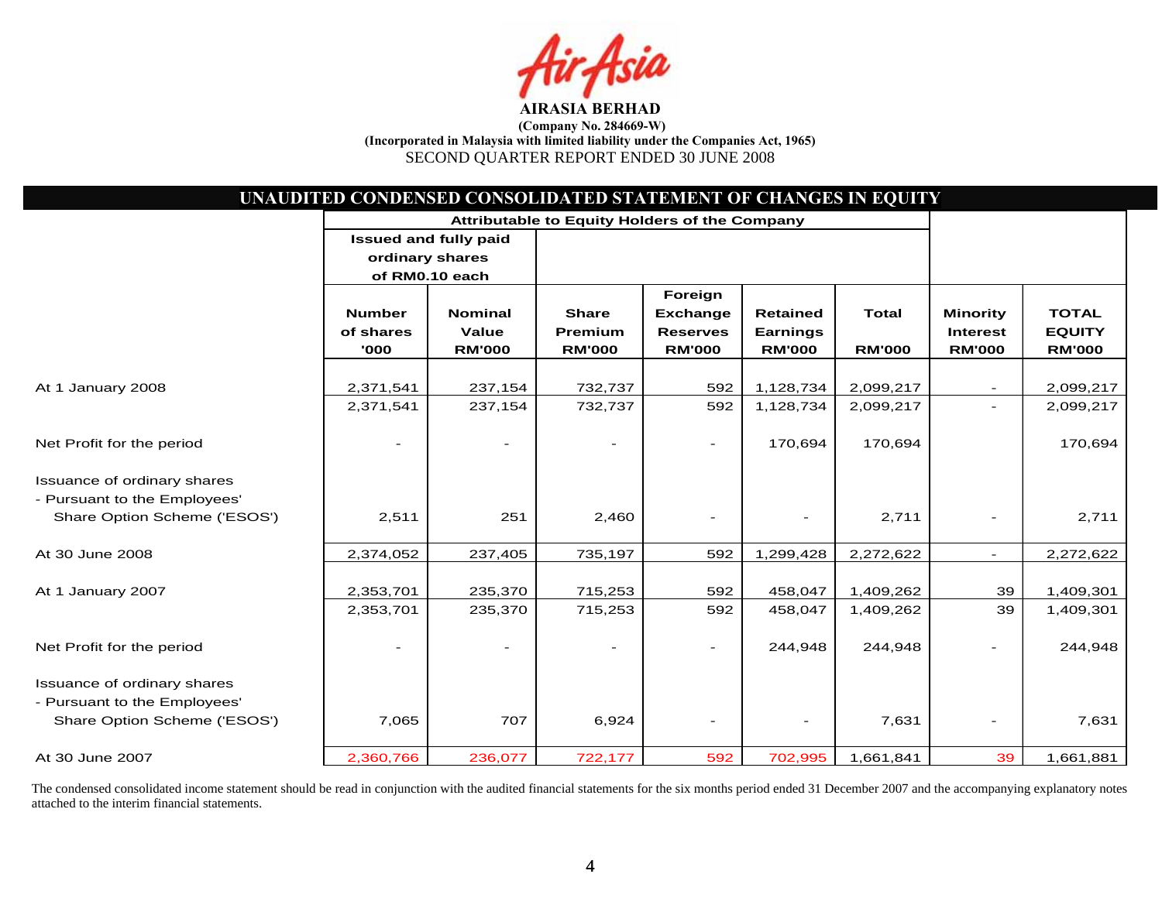

|                              | UNAUDITED CONDENSED CONSOLIDATED STATEMENT OF CHANGES IN EQUITY |                                               |               |                 |                 |               |                 |               |
|------------------------------|-----------------------------------------------------------------|-----------------------------------------------|---------------|-----------------|-----------------|---------------|-----------------|---------------|
|                              |                                                                 | Attributable to Equity Holders of the Company |               |                 |                 |               |                 |               |
|                              |                                                                 | <b>Issued and fully paid</b>                  |               |                 |                 |               |                 |               |
|                              | ordinary shares                                                 |                                               |               |                 |                 |               |                 |               |
|                              |                                                                 | of RM0.10 each                                |               |                 |                 |               |                 |               |
|                              |                                                                 |                                               |               | Foreign         |                 |               |                 |               |
|                              | <b>Number</b>                                                   | <b>Nominal</b>                                | <b>Share</b>  | <b>Exchange</b> | <b>Retained</b> | <b>Total</b>  | <b>Minority</b> | <b>TOTAL</b>  |
|                              | of shares                                                       | Value                                         | Premium       | <b>Reserves</b> | <b>Earnings</b> |               | <b>Interest</b> | <b>EQUITY</b> |
|                              | '000                                                            | <b>RM'000</b>                                 | <b>RM'000</b> | <b>RM'000</b>   | <b>RM'000</b>   | <b>RM'000</b> | <b>RM'000</b>   | <b>RM'000</b> |
|                              |                                                                 |                                               |               |                 |                 |               |                 |               |
| At 1 January 2008            | 2,371,541                                                       | 237,154                                       | 732,737       | 592             | 1,128,734       | 2,099,217     |                 | 2,099,217     |
|                              | 2,371,541                                                       | 237,154                                       | 732,737       | 592             | 1,128,734       | 2,099,217     |                 | 2,099,217     |
| Net Profit for the period    |                                                                 |                                               |               | $\blacksquare$  | 170,694         | 170,694       |                 | 170,694       |
| Issuance of ordinary shares  |                                                                 |                                               |               |                 |                 |               |                 |               |
| - Pursuant to the Employees' |                                                                 |                                               |               |                 |                 |               |                 |               |
| Share Option Scheme ('ESOS') | 2,511                                                           | 251                                           | 2,460         |                 |                 | 2,711         |                 | 2,711         |
| At 30 June 2008              | 2,374,052                                                       | 237,405                                       | 735,197       | 592             | 1,299,428       | 2,272,622     | $\sim$          | 2,272,622     |
|                              |                                                                 |                                               |               |                 |                 |               |                 |               |
| At 1 January 2007            | 2,353,701                                                       | 235,370                                       | 715,253       | 592             | 458,047         | 1,409,262     | 39              | 1,409,301     |
|                              | 2,353,701                                                       | 235,370                                       | 715,253       | 592             | 458,047         | 1,409,262     | 39              | 1,409,301     |
| Net Profit for the period    |                                                                 |                                               |               | $\sim$          | 244,948         | 244,948       |                 | 244,948       |
| Issuance of ordinary shares  |                                                                 |                                               |               |                 |                 |               |                 |               |
| - Pursuant to the Employees' |                                                                 |                                               |               |                 |                 |               |                 |               |
| Share Option Scheme ('ESOS') | 7,065                                                           | 707                                           | 6,924         |                 |                 | 7,631         |                 | 7,631         |
| At 30 June 2007              | 2,360,766                                                       | 236,077                                       | 722,177       | 592             | 702,995         | 1,661,841     | 39              | 1,661,881     |

The condensed consolidated income statement should be read in conjunction with the audited financial statements for the six months period ended 31 December 2007 and the accompanying explanatory notes attached to the interim financial statements.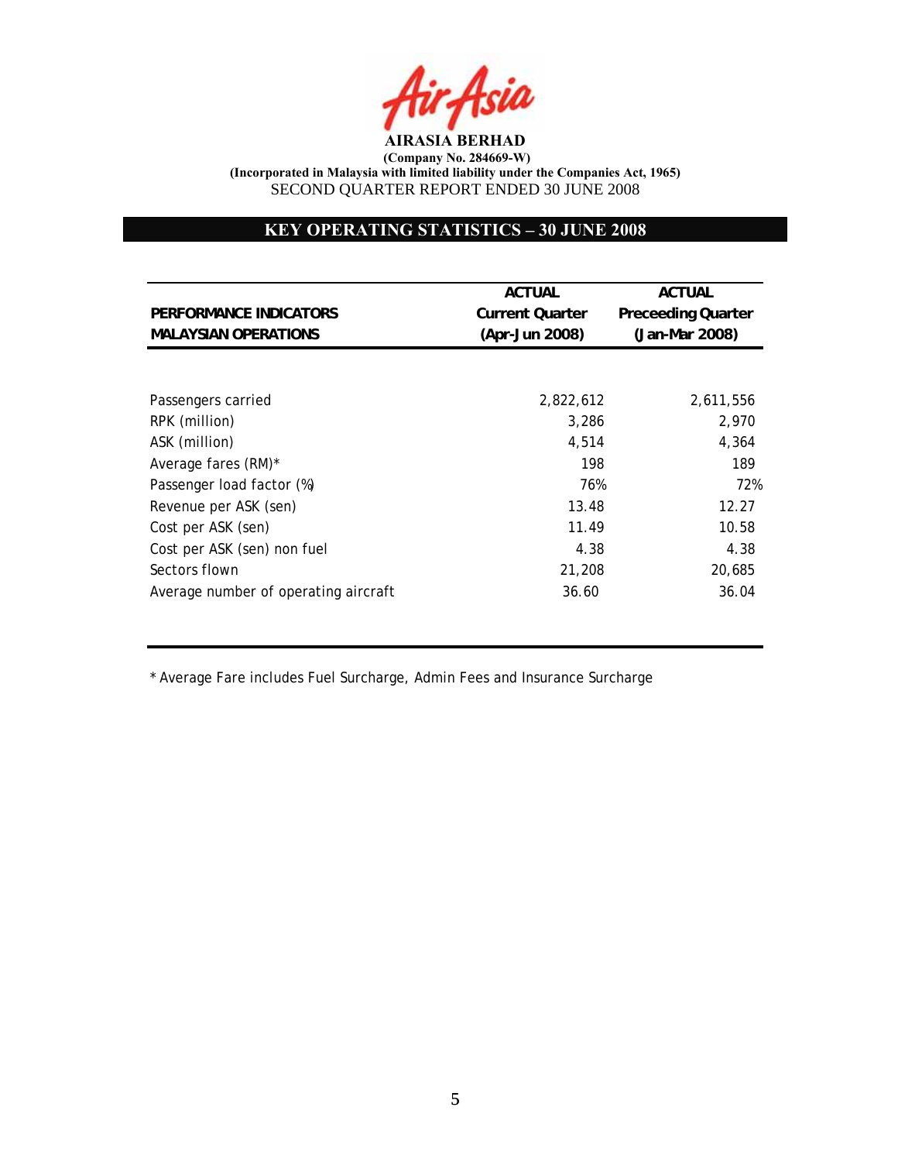

# **KEY OPERATING STATISTICS – 30 JUNE 2008**

|                                      | <b>ACTUAL</b>          | <b>ACTUAL</b>             |
|--------------------------------------|------------------------|---------------------------|
| PERFORMANCE INDICATORS               | <b>Current Quarter</b> | <b>Preceeding Quarter</b> |
| <b>MALAYSIAN OPERATIONS</b>          | (Apr-Jun 2008)         | (Jan-Mar 2008)            |
|                                      |                        |                           |
| Passengers carried                   | 2,822,612              | 2,611,556                 |
| RPK (million)                        | 3,286                  | 2,970                     |
| ASK (million)                        | 4,514                  | 4,364                     |
| Average fares (RM)*                  | 198                    | 189                       |
| Passenger load factor (%)            | 76%                    | 72%                       |
| Revenue per ASK (sen)                | 13.48                  | 12.27                     |
| Cost per ASK (sen)                   | 11.49                  | 10.58                     |
| Cost per ASK (sen) non fuel          | 4.38                   | 4.38                      |
| Sectors flown                        | 21,208                 | 20.685                    |
| Average number of operating aircraft | 36.60                  | 36.04                     |

\* Average Fare includes Fuel Surcharge, Admin Fees and Insurance Surcharge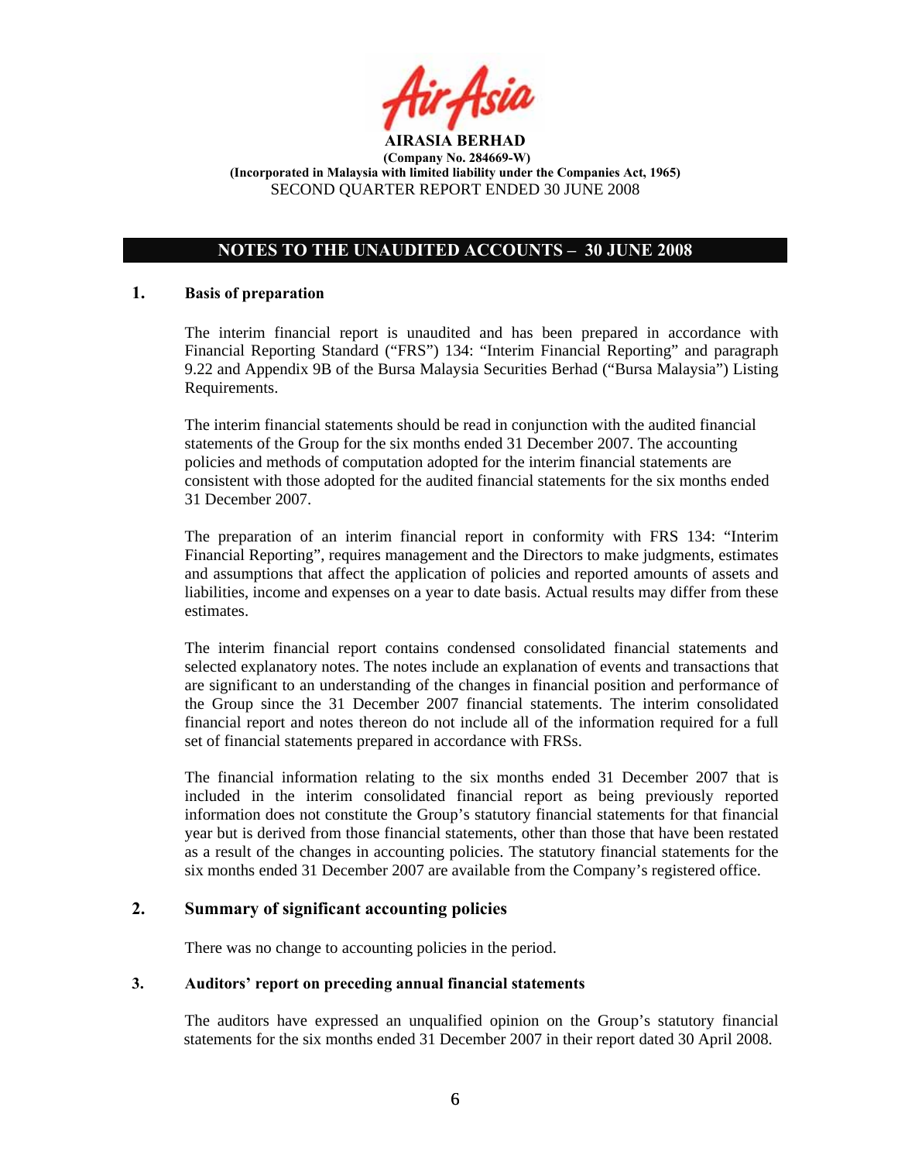

# **NOTES TO THE UNAUDITED ACCOUNTS – 30 JUNE 2008**

## **1. Basis of preparation**

The interim financial report is unaudited and has been prepared in accordance with Financial Reporting Standard ("FRS") 134: "Interim Financial Reporting" and paragraph 9.22 and Appendix 9B of the Bursa Malaysia Securities Berhad ("Bursa Malaysia") Listing Requirements.

The interim financial statements should be read in conjunction with the audited financial statements of the Group for the six months ended 31 December 2007. The accounting policies and methods of computation adopted for the interim financial statements are consistent with those adopted for the audited financial statements for the six months ended 31 December 2007.

The preparation of an interim financial report in conformity with FRS 134: "Interim Financial Reporting", requires management and the Directors to make judgments, estimates and assumptions that affect the application of policies and reported amounts of assets and liabilities, income and expenses on a year to date basis. Actual results may differ from these estimates.

The interim financial report contains condensed consolidated financial statements and selected explanatory notes. The notes include an explanation of events and transactions that are significant to an understanding of the changes in financial position and performance of the Group since the 31 December 2007 financial statements. The interim consolidated financial report and notes thereon do not include all of the information required for a full set of financial statements prepared in accordance with FRSs.

The financial information relating to the six months ended 31 December 2007 that is included in the interim consolidated financial report as being previously reported information does not constitute the Group's statutory financial statements for that financial year but is derived from those financial statements, other than those that have been restated as a result of the changes in accounting policies. The statutory financial statements for the six months ended 31 December 2007 are available from the Company's registered office.

## **2. Summary of significant accounting policies**

There was no change to accounting policies in the period.

## **3. Auditors' report on preceding annual financial statements**

The auditors have expressed an unqualified opinion on the Group's statutory financial statements for the six months ended 31 December 2007 in their report dated 30 April 2008.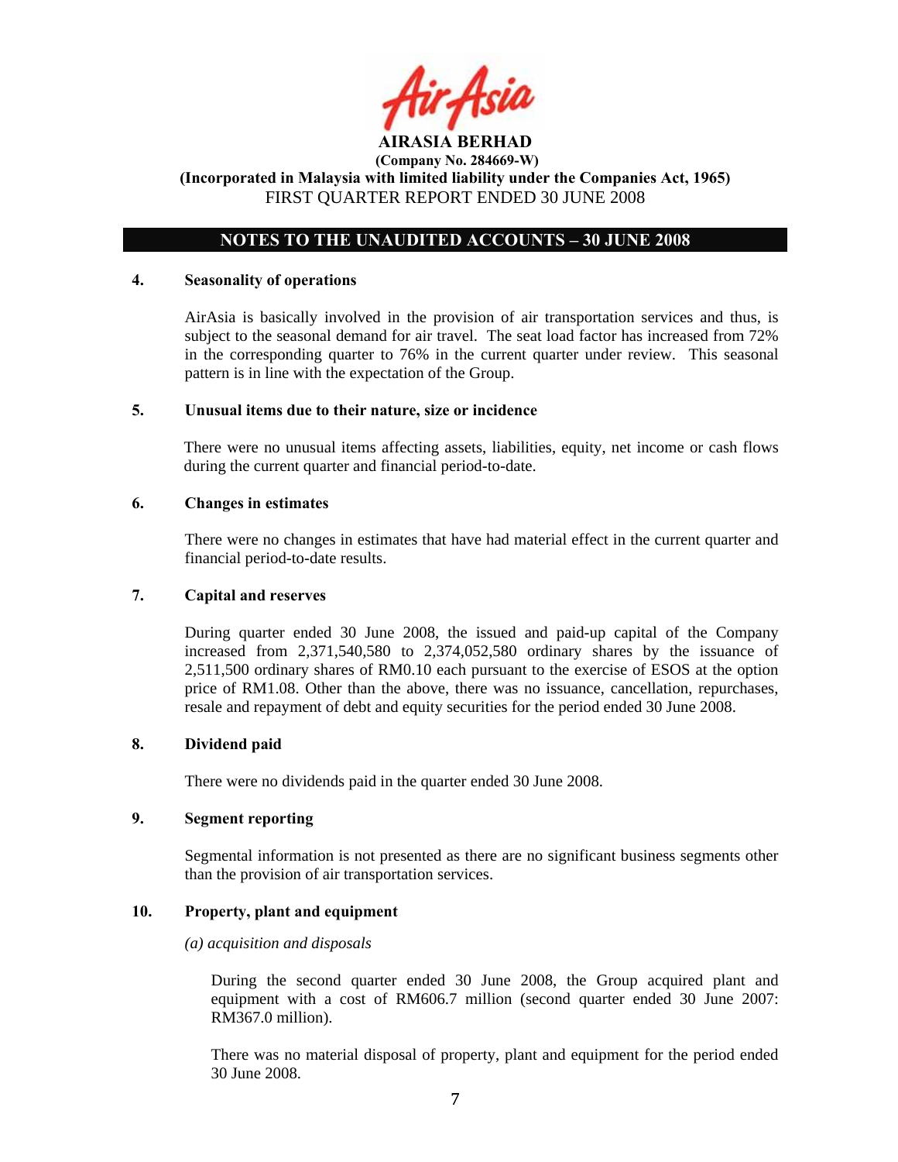

## **NOTES TO THE UNAUDITED ACCOUNTS – 30 JUNE 2008**

### **4. Seasonality of operations**

AirAsia is basically involved in the provision of air transportation services and thus, is subject to the seasonal demand for air travel. The seat load factor has increased from 72% in the corresponding quarter to 76% in the current quarter under review. This seasonal pattern is in line with the expectation of the Group.

### **5. Unusual items due to their nature, size or incidence**

There were no unusual items affecting assets, liabilities, equity, net income or cash flows during the current quarter and financial period-to-date.

### **6. Changes in estimates**

There were no changes in estimates that have had material effect in the current quarter and financial period-to-date results.

#### **7. Capital and reserves**

During quarter ended 30 June 2008, the issued and paid-up capital of the Company increased from 2,371,540,580 to 2,374,052,580 ordinary shares by the issuance of 2,511,500 ordinary shares of RM0.10 each pursuant to the exercise of ESOS at the option price of RM1.08. Other than the above, there was no issuance, cancellation, repurchases, resale and repayment of debt and equity securities for the period ended 30 June 2008.

## **8. Dividend paid**

There were no dividends paid in the quarter ended 30 June 2008.

## **9. Segment reporting**

Segmental information is not presented as there are no significant business segments other than the provision of air transportation services.

## **10. Property, plant and equipment**

#### *(a) acquisition and disposals*

During the second quarter ended 30 June 2008, the Group acquired plant and equipment with a cost of RM606.7 million (second quarter ended 30 June 2007: RM367.0 million).

There was no material disposal of property, plant and equipment for the period ended 30 June 2008.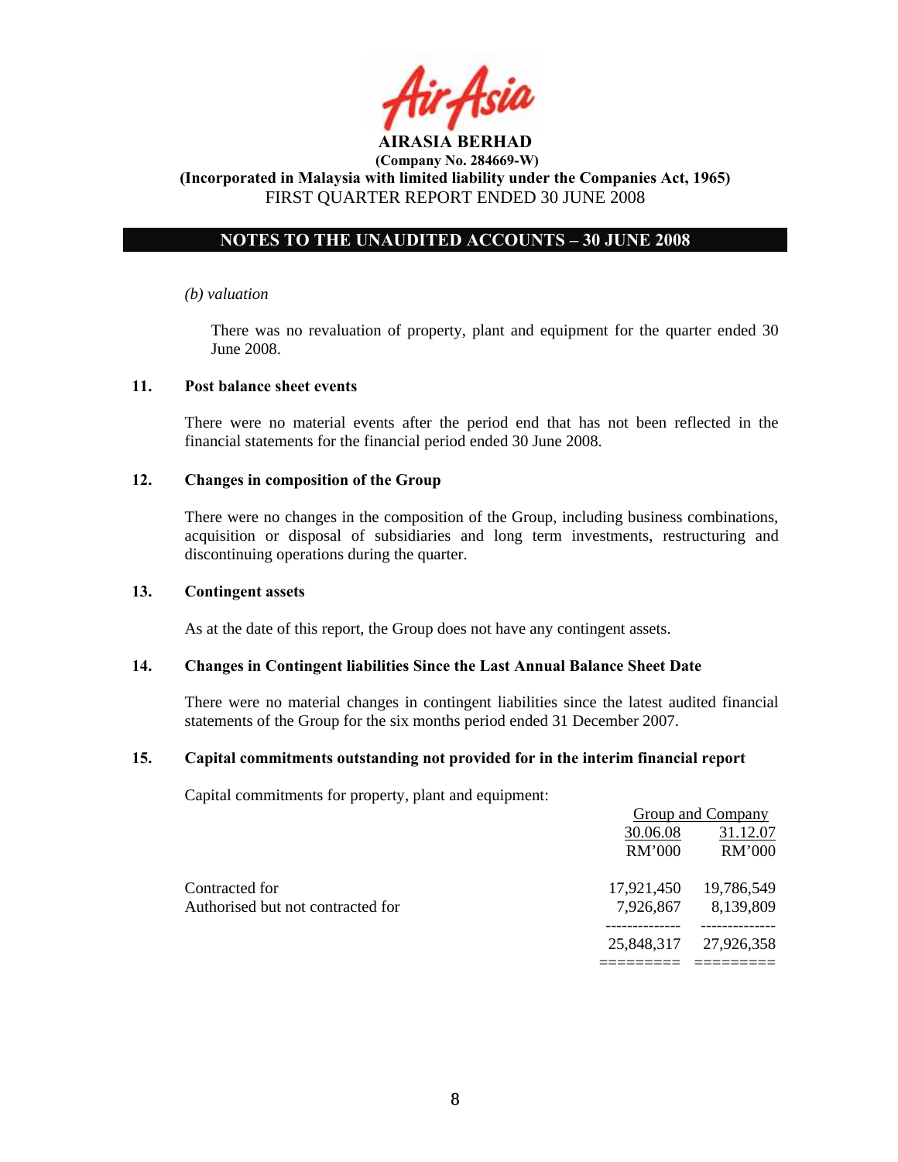

# **NOTES TO THE UNAUDITED ACCOUNTS – 30 JUNE 2008**

### *(b) valuation*

 There was no revaluation of property, plant and equipment for the quarter ended 30 June 2008.

### **11. Post balance sheet events**

There were no material events after the period end that has not been reflected in the financial statements for the financial period ended 30 June 2008.

### **12. Changes in composition of the Group**

There were no changes in the composition of the Group, including business combinations, acquisition or disposal of subsidiaries and long term investments, restructuring and discontinuing operations during the quarter.

#### **13. Contingent assets**

As at the date of this report, the Group does not have any contingent assets.

#### **14. Changes in Contingent liabilities Since the Last Annual Balance Sheet Date**

There were no material changes in contingent liabilities since the latest audited financial statements of the Group for the six months period ended 31 December 2007.

## **15. Capital commitments outstanding not provided for in the interim financial report**

Capital commitments for property, plant and equipment:

|                                   |            | Group and Company |
|-----------------------------------|------------|-------------------|
|                                   | 30.06.08   | 31.12.07          |
|                                   | RM'000     | RM'000            |
| Contracted for                    | 17,921,450 | 19,786,549        |
| Authorised but not contracted for | 7,926,867  | 8,139,809         |
|                                   | 25,848,317 | 27,926,358        |
|                                   |            |                   |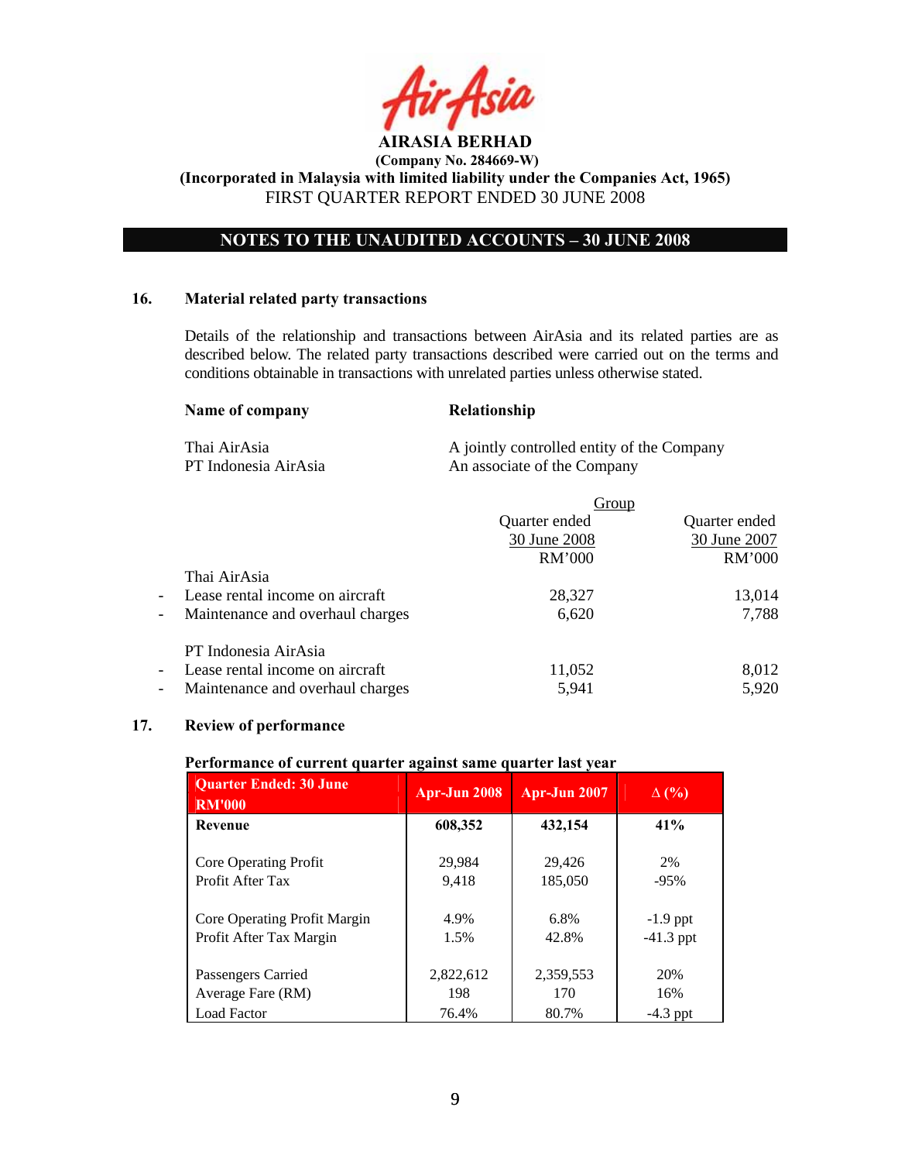

**(Incorporated in Malaysia with limited liability under the Companies Act, 1965)**  FIRST QUARTER REPORT ENDED 30 JUNE 2008

# **NOTES TO THE UNAUDITED ACCOUNTS – 30 JUNE 2008**

## **16. Material related party transactions**

Details of the relationship and transactions between AirAsia and its related parties are as described below. The related party transactions described were carried out on the terms and conditions obtainable in transactions with unrelated parties unless otherwise stated.

| Name of company |  |
|-----------------|--|
|-----------------|--|

**Relationship** 

Thai AirAsia **A** jointly controlled entity of the Company PT Indonesia AirAsia An associate of the Company

|                                                              |               | Group         |
|--------------------------------------------------------------|---------------|---------------|
|                                                              | Quarter ended | Quarter ended |
|                                                              | 30 June 2008  | 30 June 2007  |
|                                                              | RM'000        | RM'000        |
| Thai AirAsia                                                 |               |               |
| Lease rental income on aircraft<br>$\overline{\phantom{a}}$  | 28,327        | 13,014        |
| Maintenance and overhaul charges<br>$\overline{\phantom{a}}$ | 6,620         | 7,788         |
| PT Indonesia AirAsia                                         |               |               |
| Lease rental income on aircraft<br>$\overline{\phantom{a}}$  | 11,052        | 8,012         |
| Maintenance and overhaul charges<br>$\overline{\phantom{a}}$ | 5,941         | 5,920         |

## **17. Review of performance**

## **Performance of current quarter against same quarter last year**

| <b>Quarter Ended: 30 June</b><br><b>RM'000</b> | Apr-Jun 2008 | <b>Apr-Jun 2007</b> | $\Delta$ (%) |
|------------------------------------------------|--------------|---------------------|--------------|
| <b>Revenue</b>                                 | 608,352      | 432,154             | 41%          |
| Core Operating Profit                          | 29.984       | 29,426              | 2%           |
| Profit After Tax                               | 9,418        | 185,050             | $-95%$       |
| Core Operating Profit Margin                   | 4.9%         | 6.8%                | $-1.9$ ppt   |
| Profit After Tax Margin                        | 1.5%         | 42.8%               | $-41.3$ ppt  |
| Passengers Carried                             | 2,822,612    | 2,359,553           | 20%          |
| Average Fare (RM)                              | 198          | 170                 | 16%          |
| <b>Load Factor</b>                             | 76.4%        | 80.7%               | $-4.3$ ppt   |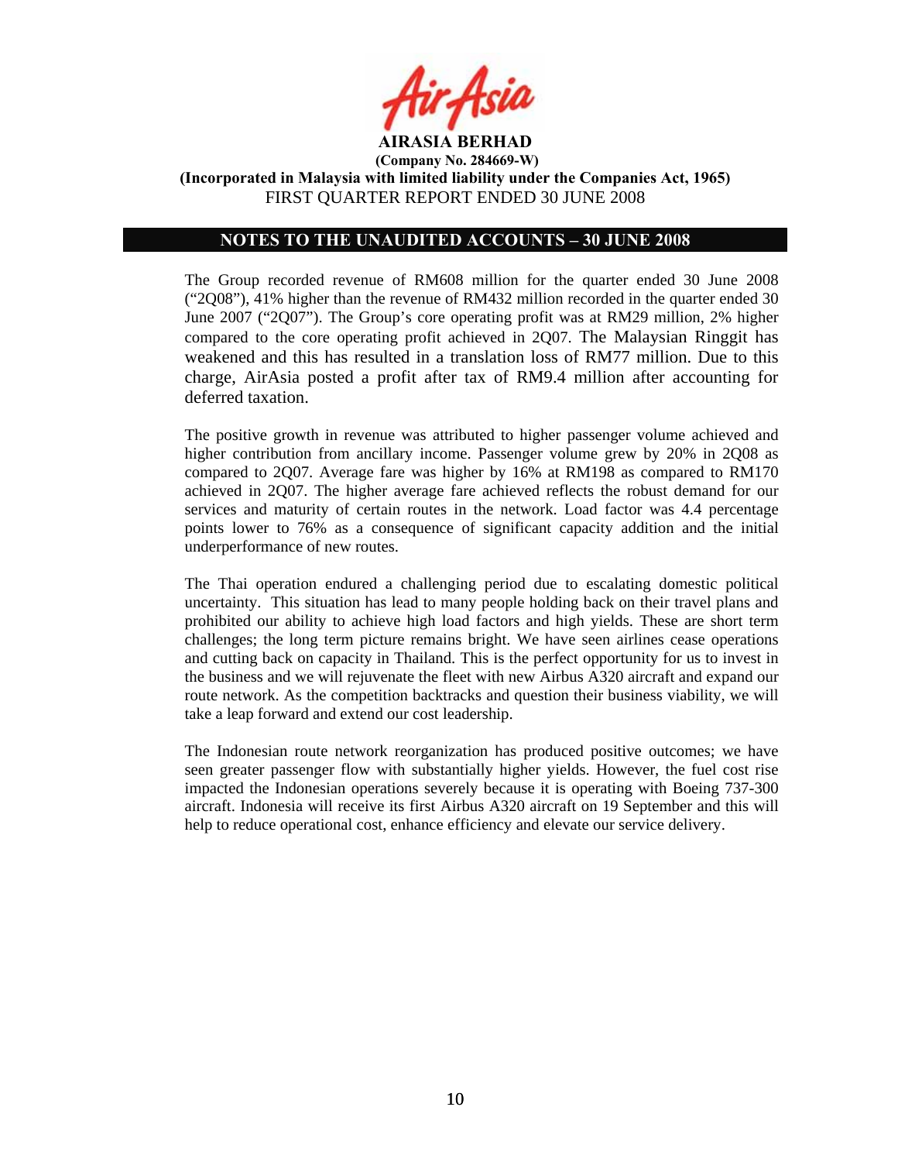

## **NOTES TO THE UNAUDITED ACCOUNTS – 30 JUNE 2008**

The Group recorded revenue of RM608 million for the quarter ended 30 June 2008 ("2Q08"), 41% higher than the revenue of RM432 million recorded in the quarter ended 30 June 2007 ("2Q07"). The Group's core operating profit was at RM29 million, 2% higher compared to the core operating profit achieved in 2Q07. The Malaysian Ringgit has weakened and this has resulted in a translation loss of RM77 million. Due to this charge, AirAsia posted a profit after tax of RM9.4 million after accounting for deferred taxation.

The positive growth in revenue was attributed to higher passenger volume achieved and higher contribution from ancillary income. Passenger volume grew by 20% in 2Q08 as compared to 2Q07. Average fare was higher by 16% at RM198 as compared to RM170 achieved in 2Q07. The higher average fare achieved reflects the robust demand for our services and maturity of certain routes in the network. Load factor was 4.4 percentage points lower to 76% as a consequence of significant capacity addition and the initial underperformance of new routes.

The Thai operation endured a challenging period due to escalating domestic political uncertainty. This situation has lead to many people holding back on their travel plans and prohibited our ability to achieve high load factors and high yields. These are short term challenges; the long term picture remains bright. We have seen airlines cease operations and cutting back on capacity in Thailand. This is the perfect opportunity for us to invest in the business and we will rejuvenate the fleet with new Airbus A320 aircraft and expand our route network. As the competition backtracks and question their business viability, we will take a leap forward and extend our cost leadership.

The Indonesian route network reorganization has produced positive outcomes; we have seen greater passenger flow with substantially higher yields. However, the fuel cost rise impacted the Indonesian operations severely because it is operating with Boeing 737-300 aircraft. Indonesia will receive its first Airbus A320 aircraft on 19 September and this will help to reduce operational cost, enhance efficiency and elevate our service delivery.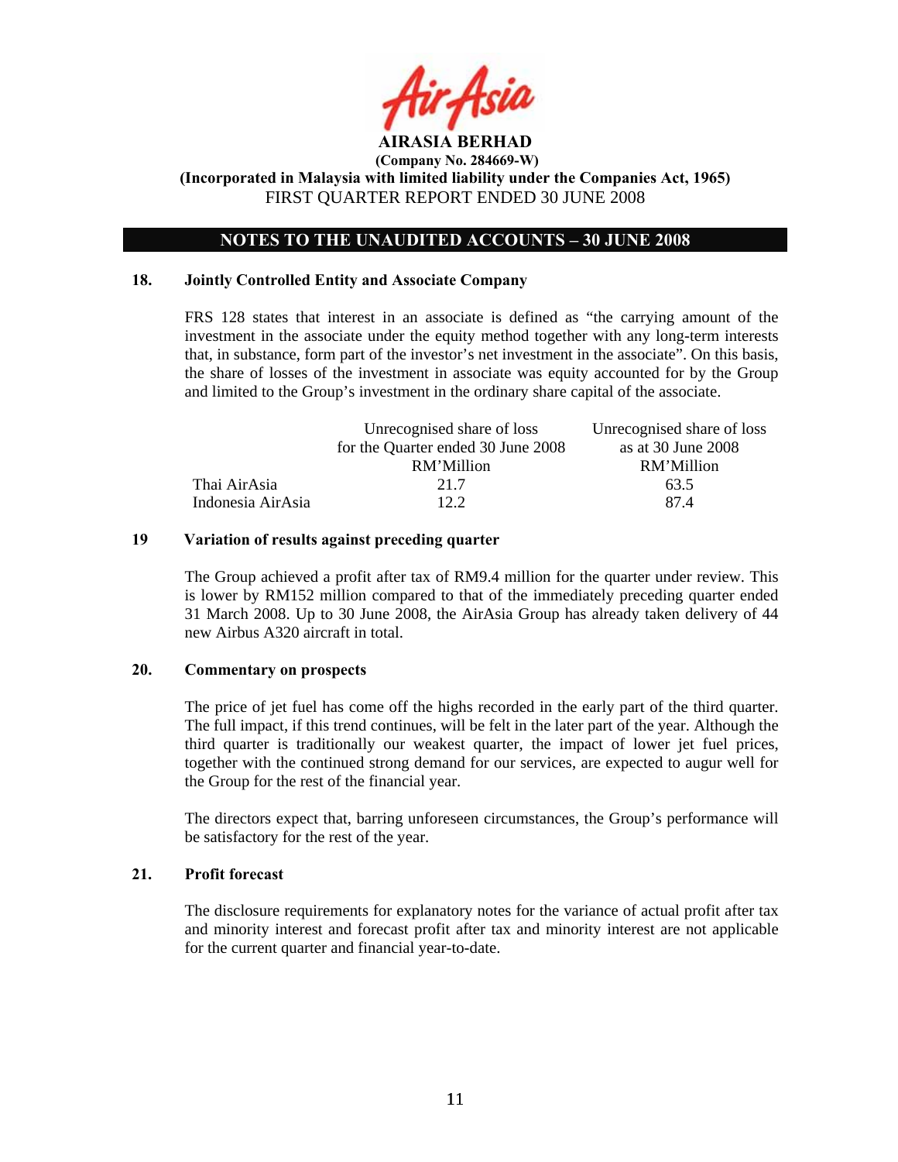

## **NOTES TO THE UNAUDITED ACCOUNTS – 30 JUNE 2008**

#### **18. Jointly Controlled Entity and Associate Company**

FRS 128 states that interest in an associate is defined as "the carrying amount of the investment in the associate under the equity method together with any long-term interests that, in substance, form part of the investor's net investment in the associate". On this basis, the share of losses of the investment in associate was equity accounted for by the Group and limited to the Group's investment in the ordinary share capital of the associate.

|                   | Unrecognised share of loss         | Unrecognised share of loss |
|-------------------|------------------------------------|----------------------------|
|                   | for the Quarter ended 30 June 2008 | as at $30$ June $2008$     |
|                   | RM'Million                         | RM'Million                 |
| Thai AirAsia      | 21.7                               | 63.5                       |
| Indonesia AirAsia | 12.2                               | 874                        |

### **19 Variation of results against preceding quarter**

The Group achieved a profit after tax of RM9.4 million for the quarter under review. This is lower by RM152 million compared to that of the immediately preceding quarter ended 31 March 2008. Up to 30 June 2008, the AirAsia Group has already taken delivery of 44 new Airbus A320 aircraft in total.

#### **20. Commentary on prospects**

The price of jet fuel has come off the highs recorded in the early part of the third quarter. The full impact, if this trend continues, will be felt in the later part of the year. Although the third quarter is traditionally our weakest quarter, the impact of lower jet fuel prices, together with the continued strong demand for our services, are expected to augur well for the Group for the rest of the financial year.

The directors expect that, barring unforeseen circumstances, the Group's performance will be satisfactory for the rest of the year.

#### **21. Profit forecast**

The disclosure requirements for explanatory notes for the variance of actual profit after tax and minority interest and forecast profit after tax and minority interest are not applicable for the current quarter and financial year-to-date.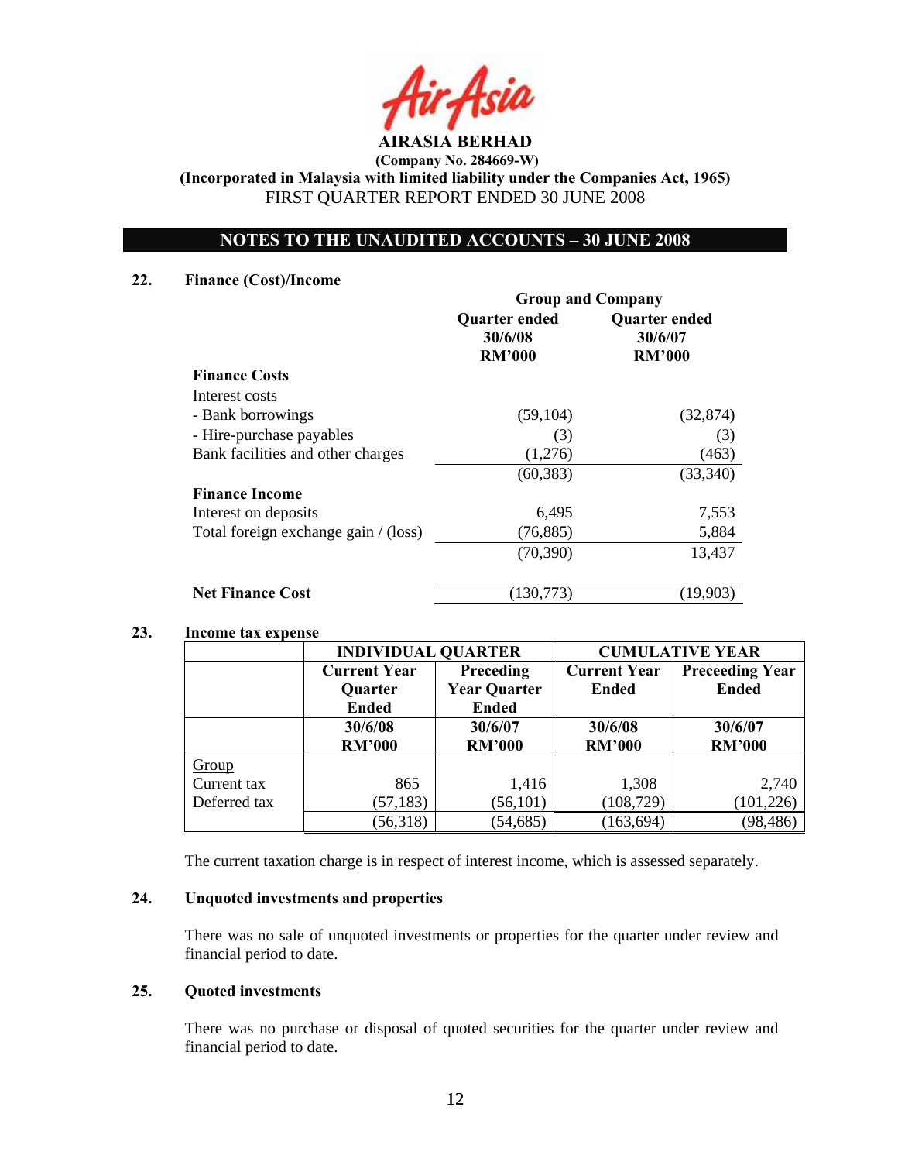

**(Incorporated in Malaysia with limited liability under the Companies Act, 1965)**  FIRST QUARTER REPORT ENDED 30 JUNE 2008

# **NOTES TO THE UNAUDITED ACCOUNTS – 30 JUNE 2008**

### **22. Finance (Cost)/Income**

|                                      | <b>Group and Company</b>                         |                                           |  |
|--------------------------------------|--------------------------------------------------|-------------------------------------------|--|
|                                      | <b>Quarter ended</b><br>30/6/08<br><b>RM'000</b> | Quarter ended<br>30/6/07<br><b>RM'000</b> |  |
| <b>Finance Costs</b>                 |                                                  |                                           |  |
| Interest costs                       |                                                  |                                           |  |
| - Bank borrowings                    | (59, 104)                                        | (32, 874)                                 |  |
| - Hire-purchase payables             | (3)                                              | (3)                                       |  |
| Bank facilities and other charges    | (1,276)                                          | (463)                                     |  |
|                                      | (60, 383)                                        | (33,340)                                  |  |
| <b>Finance Income</b>                |                                                  |                                           |  |
| Interest on deposits                 | 6,495                                            | 7,553                                     |  |
| Total foreign exchange gain / (loss) | (76, 885)                                        | 5,884                                     |  |
|                                      | (70, 390)                                        | 13,437                                    |  |
| <b>Net Finance Cost</b>              | (130.773)                                        | (19.903)                                  |  |

## **23. Income tax expense**

|              | <b>INDIVIDUAL QUARTER</b> |                     | <b>CUMULATIVE YEAR</b> |                        |  |
|--------------|---------------------------|---------------------|------------------------|------------------------|--|
|              | <b>Current Year</b>       | Preceding           | <b>Current Year</b>    | <b>Preceeding Year</b> |  |
|              | <b>Quarter</b>            | <b>Year Quarter</b> | <b>Ended</b>           | <b>Ended</b>           |  |
|              | <b>Ended</b>              | <b>Ended</b>        |                        |                        |  |
|              | 30/6/08                   | 30/6/07             | 30/6/08                | 30/6/07                |  |
|              | <b>RM'000</b>             | <b>RM'000</b>       | <b>RM'000</b>          | <b>RM'000</b>          |  |
| Group        |                           |                     |                        |                        |  |
| Current tax  | 865                       | 1,416               | 1,308                  | 2,740                  |  |
| Deferred tax | (57, 183)                 | (56, 101)           | (108, 729)             | (101, 226)             |  |
|              | (56,318)                  | (54, 685)           | (163, 694)             | (98, 486)              |  |

The current taxation charge is in respect of interest income, which is assessed separately.

## **24. Unquoted investments and properties**

There was no sale of unquoted investments or properties for the quarter under review and financial period to date.

### **25. Quoted investments**

There was no purchase or disposal of quoted securities for the quarter under review and financial period to date.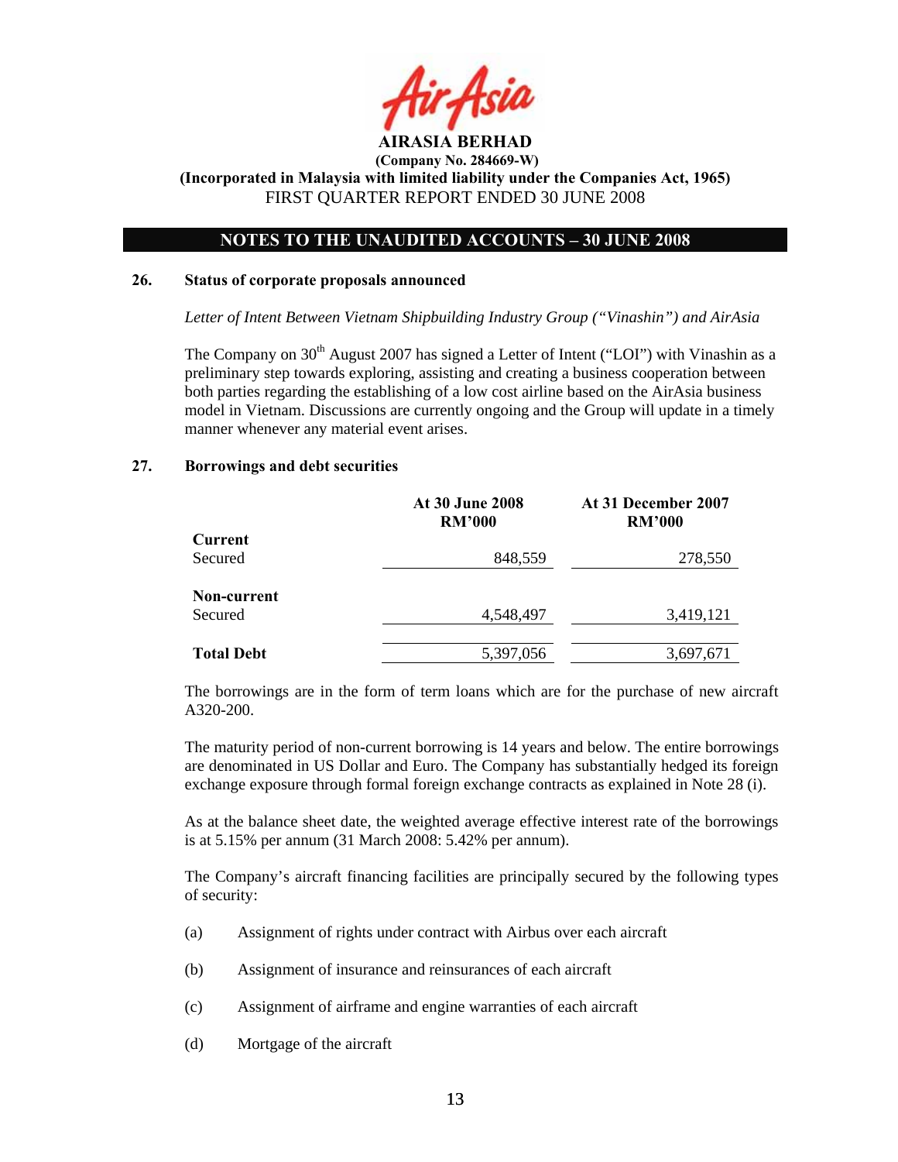

## **NOTES TO THE UNAUDITED ACCOUNTS – 30 JUNE 2008**

#### **26. Status of corporate proposals announced**

*Letter of Intent Between Vietnam Shipbuilding Industry Group ("Vinashin") and AirAsia* 

The Company on  $30<sup>th</sup>$  August 2007 has signed a Letter of Intent ("LOI") with Vinashin as a preliminary step towards exploring, assisting and creating a business cooperation between both parties regarding the establishing of a low cost airline based on the AirAsia business model in Vietnam. Discussions are currently ongoing and the Group will update in a timely manner whenever any material event arises.

#### **27. Borrowings and debt securities**

|                   | <b>At 30 June 2008</b><br><b>RM'000</b> | At 31 December 2007<br><b>RM'000</b> |  |
|-------------------|-----------------------------------------|--------------------------------------|--|
| Current           |                                         |                                      |  |
| Secured           | 848,559                                 | 278,550                              |  |
| Non-current       |                                         |                                      |  |
| Secured           | 4,548,497                               | 3,419,121                            |  |
|                   |                                         |                                      |  |
| <b>Total Debt</b> | 5,397,056                               | 3,697,671                            |  |

The borrowings are in the form of term loans which are for the purchase of new aircraft A320-200.

The maturity period of non-current borrowing is 14 years and below. The entire borrowings are denominated in US Dollar and Euro. The Company has substantially hedged its foreign exchange exposure through formal foreign exchange contracts as explained in Note 28 (i).

As at the balance sheet date, the weighted average effective interest rate of the borrowings is at 5.15% per annum (31 March 2008: 5.42% per annum).

The Company's aircraft financing facilities are principally secured by the following types of security:

- (a) Assignment of rights under contract with Airbus over each aircraft
- (b) Assignment of insurance and reinsurances of each aircraft
- (c) Assignment of airframe and engine warranties of each aircraft
- (d) Mortgage of the aircraft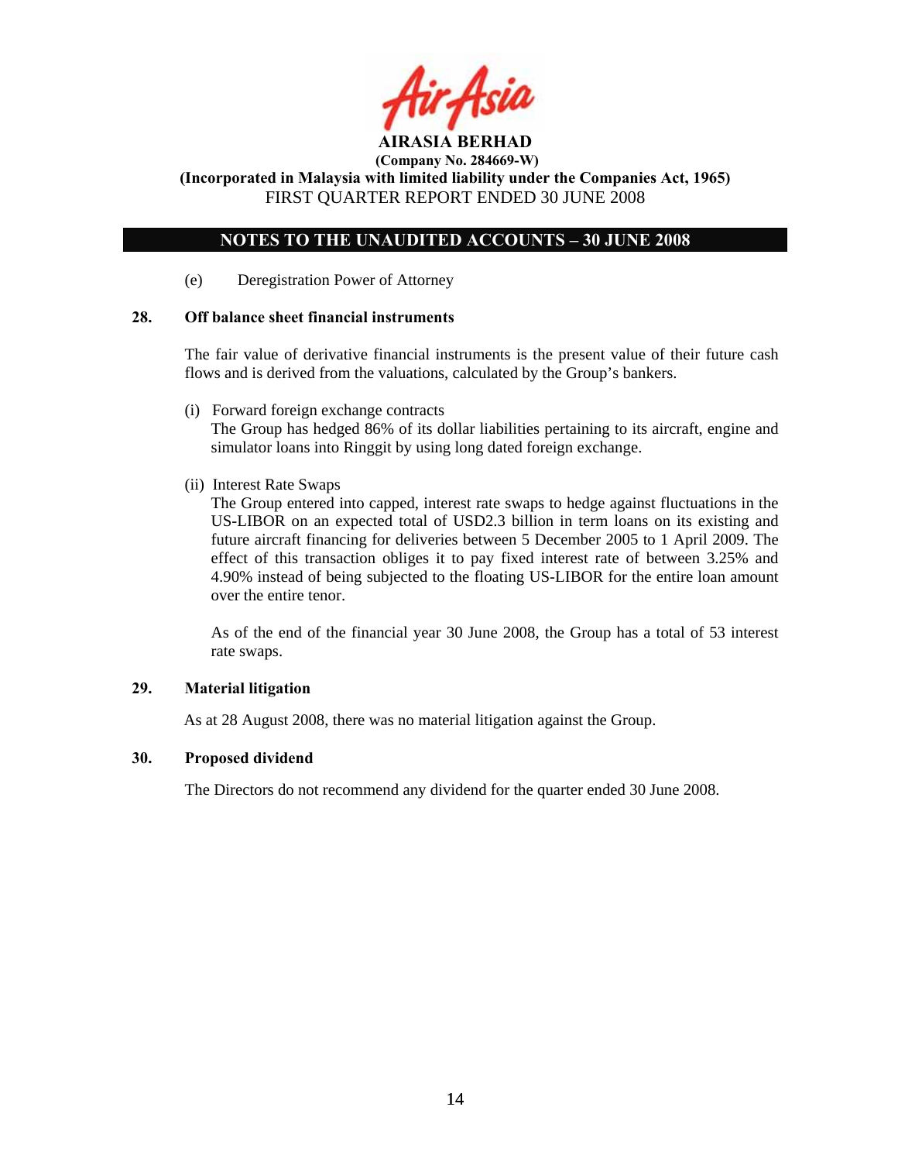

**(Incorporated in Malaysia with limited liability under the Companies Act, 1965)**  FIRST QUARTER REPORT ENDED 30 JUNE 2008

# **NOTES TO THE UNAUDITED ACCOUNTS – 30 JUNE 2008**

(e) Deregistration Power of Attorney

## **28. Off balance sheet financial instruments**

 The fair value of derivative financial instruments is the present value of their future cash flows and is derived from the valuations, calculated by the Group's bankers.

(i) Forward foreign exchange contracts

 The Group has hedged 86% of its dollar liabilities pertaining to its aircraft, engine and simulator loans into Ringgit by using long dated foreign exchange.

(ii) Interest Rate Swaps

The Group entered into capped, interest rate swaps to hedge against fluctuations in the US-LIBOR on an expected total of USD2.3 billion in term loans on its existing and future aircraft financing for deliveries between 5 December 2005 to 1 April 2009. The effect of this transaction obliges it to pay fixed interest rate of between 3.25% and 4.90% instead of being subjected to the floating US-LIBOR for the entire loan amount over the entire tenor.

As of the end of the financial year 30 June 2008, the Group has a total of 53 interest rate swaps.

## **29. Material litigation**

As at 28 August 2008, there was no material litigation against the Group.

## **30. Proposed dividend**

The Directors do not recommend any dividend for the quarter ended 30 June 2008.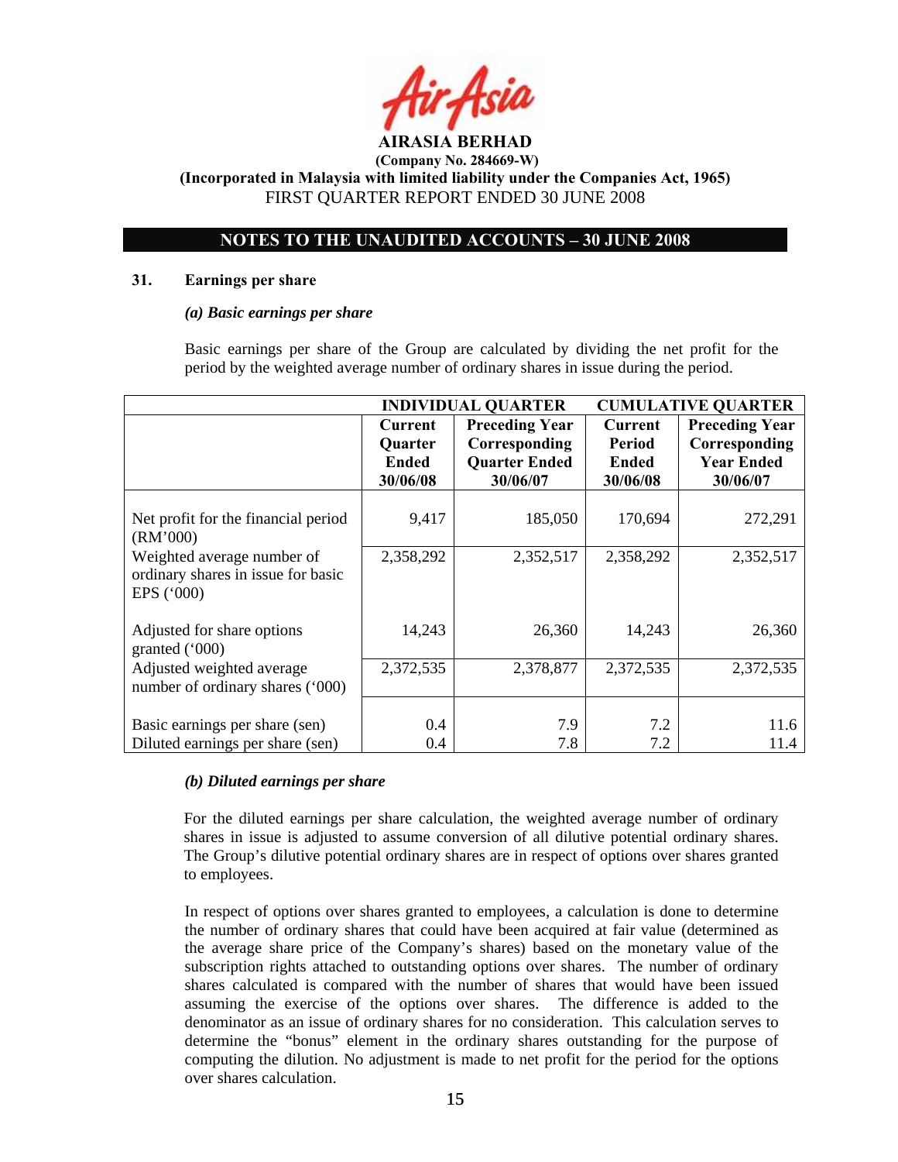

**(Incorporated in Malaysia with limited liability under the Companies Act, 1965)**  FIRST QUARTER REPORT ENDED 30 JUNE 2008

# **NOTES TO THE UNAUDITED ACCOUNTS – 30 JUNE 2008**

### **31. Earnings per share**

### *(a) Basic earnings per share*

 Basic earnings per share of the Group are calculated by dividing the net profit for the period by the weighted average number of ordinary shares in issue during the period.

|                                                                                | <b>INDIVIDUAL QUARTER</b>                             |                                                                            | <b>CUMULATIVE QUARTER</b>                            |                                                                         |
|--------------------------------------------------------------------------------|-------------------------------------------------------|----------------------------------------------------------------------------|------------------------------------------------------|-------------------------------------------------------------------------|
|                                                                                | Current<br><b>Quarter</b><br><b>Ended</b><br>30/06/08 | <b>Preceding Year</b><br>Corresponding<br><b>Quarter Ended</b><br>30/06/07 | <b>Current</b><br>Period<br><b>Ended</b><br>30/06/08 | <b>Preceding Year</b><br>Corresponding<br><b>Year Ended</b><br>30/06/07 |
| Net profit for the financial period<br>(RM'000)                                | 9,417                                                 | 185,050                                                                    | 170,694                                              | 272,291                                                                 |
| Weighted average number of<br>ordinary shares in issue for basic<br>EPS ('000) | 2,358,292                                             | 2,352,517                                                                  | 2,358,292                                            | 2,352,517                                                               |
| Adjusted for share options<br>granted ('000)                                   | 14,243                                                | 26,360                                                                     | 14,243                                               | 26,360                                                                  |
| Adjusted weighted average<br>number of ordinary shares ('000)                  | 2,372,535                                             | 2,378,877                                                                  | 2,372,535                                            | 2,372,535                                                               |
| Basic earnings per share (sen)<br>Diluted earnings per share (sen)             | 0.4<br>0.4                                            | 7.9<br>7.8                                                                 | 7.2<br>7.2                                           | 11.6<br>11.4                                                            |

## *(b) Diluted earnings per share*

For the diluted earnings per share calculation, the weighted average number of ordinary shares in issue is adjusted to assume conversion of all dilutive potential ordinary shares. The Group's dilutive potential ordinary shares are in respect of options over shares granted to employees.

 In respect of options over shares granted to employees, a calculation is done to determine the number of ordinary shares that could have been acquired at fair value (determined as the average share price of the Company's shares) based on the monetary value of the subscription rights attached to outstanding options over shares. The number of ordinary shares calculated is compared with the number of shares that would have been issued assuming the exercise of the options over shares. The difference is added to the denominator as an issue of ordinary shares for no consideration. This calculation serves to determine the "bonus" element in the ordinary shares outstanding for the purpose of computing the dilution. No adjustment is made to net profit for the period for the options over shares calculation.